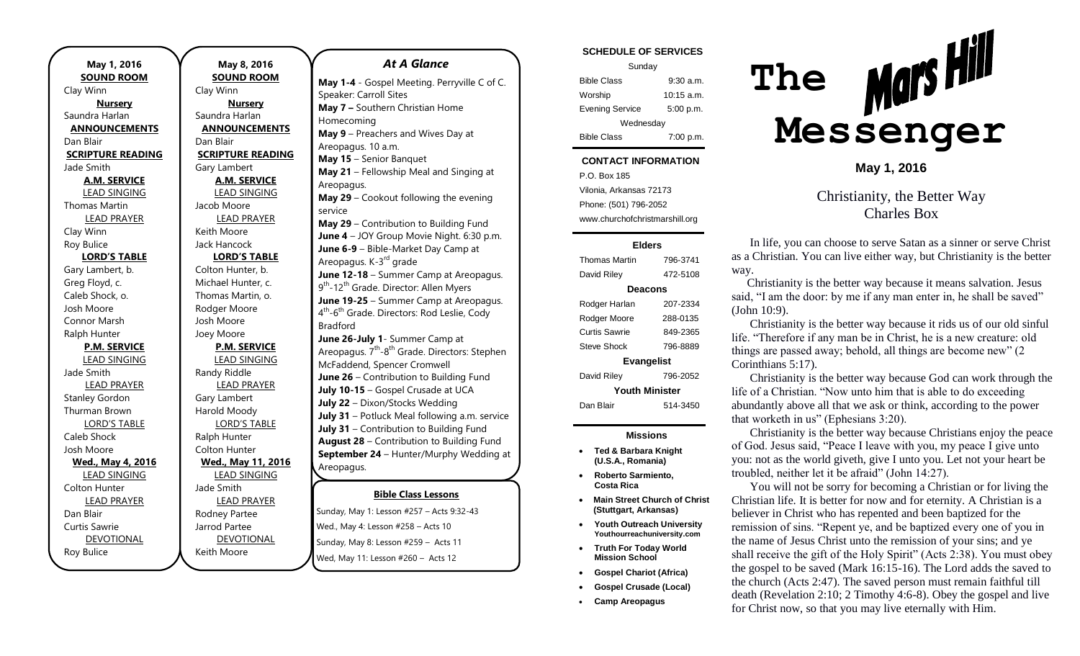**SOUND ROOM** Clay Winn **Nursery** Saundra Harlan **ANNOUNCEMENTS** Dan Blair **SCRIPTURE READING** Jade Smith **A.M. SERVICE** LEAD SINGING Thomas Martin LEAD PRAYER Clay Winn Roy Bulice **LORD'S TABLE** Gary Lambert, b. Greg Floyd, c. Caleb Shock, o. Josh Moore Connor Marsh Ralph Hunter **P.M. SERVICE** LEAD SINGING Jade Smith LEAD PRAYER Stanley Gordon Thurman Brown LORD'S TABLE Caleb Shock Josh Moore **Wed., May 4, 2016** LEAD SINGING Colton Hunter LEAD PRAYER Dan Blair Curtis Sawrie DEVOTIONAL Roy Bulice

**May 1, 2016**

**May 8, 2016 SOUND ROOM** Clay Winn **Nursery** Saundra Harlan **ANNOUNCEMENTS** Dan Blair **SCRIPTURE READING** Gary Lambert **A.M. SERVICE** LEAD SINGING Jacob Moore LEAD PRAYER Keith Moore Jack Hancock **LORD'S TABLE** Colton Hunter, b. Michael Hunter, c. Thomas Martin, o. Rodger Moore Josh Moore Joey Moore **P.M. SERVICE** LEAD SINGING Randy Riddle LEAD PRAYER Gary Lambert Harold Moody LORD'S TABLE Ralph Hunter Colton Hunter **Wed., May 11, 2016** LEAD SINGING Jade Smith LEAD PRAYER Rodney Partee Jarrod Partee DEVOTIONAL Keith Moore

### *At A Glance*

**May 1-4** - Gospel Meeting. Perryville C of C. Speaker: Carroll Sites **May 7 –** Southern Christian Home Homecoming **May 9** – Preachers and Wives Day at Areopagus. 10 a.m. **May 15** – Senior Banquet **May 21** – Fellowship Meal and Singing at Areopagus. **May 29** – Cookout following the evening service **May 29** – Contribution to Building Fund **June 4** – JOY Group Movie Night. 6:30 p.m. **June 6-9** – Bible-Market Day Camp at Areopagus. K-3<sup>rd</sup> grade **June 12-18** – Summer Camp at Areopagus. 9<sup>th</sup>-12<sup>th</sup> Grade. Director: Allen Myers **June 19-25** – Summer Camp at Areopagus. 4<sup>th</sup>-6<sup>th</sup> Grade. Directors: Rod Leslie, Cody Bradford **June 26-July 1**- Summer Camp at Areopagus. 7<sup>th</sup>-8<sup>th</sup> Grade. Directors: Stephen McFaddend, Spencer Cromwell **June 26** – Contribution to Building Fund **July 10-15** – Gospel Crusade at UCA **July 22** – Dixon/Stocks Wedding **July 31** – Potluck Meal following a.m. service **July 31** – Contribution to Building Fund **August 28** – Contribution to Building Fund **September 24** – Hunter/Murphy Wedding at Areopagus. **September 25** – Contribution to Building

### **Bible Class Lessons**

Sunday, May 1: Lesson #257 – Acts 9:32-43 **Outhaly, they in Eccesimmed.**<br>Wed., May 4: Lesson #258 – Acts 10 Sunday, May 8: Lesson #259 - Acts 11 Wed, May 11: Lesson #260 - Acts 12 **Ned., May 4. Lesson #256 – Acts TO** 

### **SCHEDULE OF SERVICES**

| Sunday                 |              |
|------------------------|--------------|
| <b>Bible Class</b>     | $9:30$ a.m.  |
| Worship                | $10:15$ a.m. |
| <b>Evening Service</b> | 5:00 p.m.    |
| Wednesday              |              |
| <b>Bible Class</b>     | 7:00 p.m.    |

# **CONTACT INFORMATION**

P.O. Box 185 Vilonia, Arkansas 72173 Phone: (501) 796-2052 www.churchofchristmarshill.org

#### **Elders**

Thomas Martin 796-3741 David Riley 472-5108 **Deacons** Rodger Harlan 207-2334 Rodger Moore 288-0135 Curtis Sawrie 849-2365 Steve Shock 796-8889 **Evangelist** David Riley 796-2052 **Youth Minister** Dan Blair 514-3450

### **Missions**

- **Ted & Barbara Knight (U.S.A., Romania)**
- **Roberto Sarmiento, Costa Rica**
- **Main Street Church of Christ (Stuttgart, Arkansas)**
- **Youth Outreach University Youthourreachuniversity.com**
- **Truth For Today World Mission School**
- **Gospel Chariot (Africa)**
- **Gospel Crusade (Local)**
- **Camp Areopagus**



**May 1, 2016**

Christianity, the Better Way Charles Box

In life, you can choose to serve Satan as a sinner or serve Christ as a Christian. You can live either way, but Christianity is the better way.

Christianity is the better way because it means salvation. Jesus said, "I am the door: by me if any man enter in, he shall be saved" (John 10:9).

Christianity is the better way because it rids us of our old sinful life. "Therefore if any man be in Christ, he is a new creature: old things are passed away; behold, all things are become new" (2 Corinthians 5:17).

Christianity is the better way because God can work through the life of a Christian. "Now unto him that is able to do exceeding abundantly above all that we ask or think, according to the power that worketh in us" (Ephesians 3:20).

Christianity is the better way because Christians enjoy the peace of God. Jesus said, "Peace I leave with you, my peace I give unto you: not as the world giveth, give I unto you. Let not your heart be troubled, neither let it be afraid" (John 14:27).

You will not be sorry for becoming a Christian or for living the Christian life. It is better for now and for eternity. A Christian is a believer in Christ who has repented and been baptized for the remission of sins. "Repent ye, and be baptized every one of you in the name of Jesus Christ unto the remission of your sins; and ye shall receive the gift of the Holy Spirit" (Acts 2:38). You must obey the gospel to be saved (Mark 16:15-16). The Lord adds the saved to the church (Acts 2:47). The saved person must remain faithful till death (Revelation 2:10; 2 Timothy 4:6-8). Obey the gospel and live for Christ now, so that you may live eternally with Him.